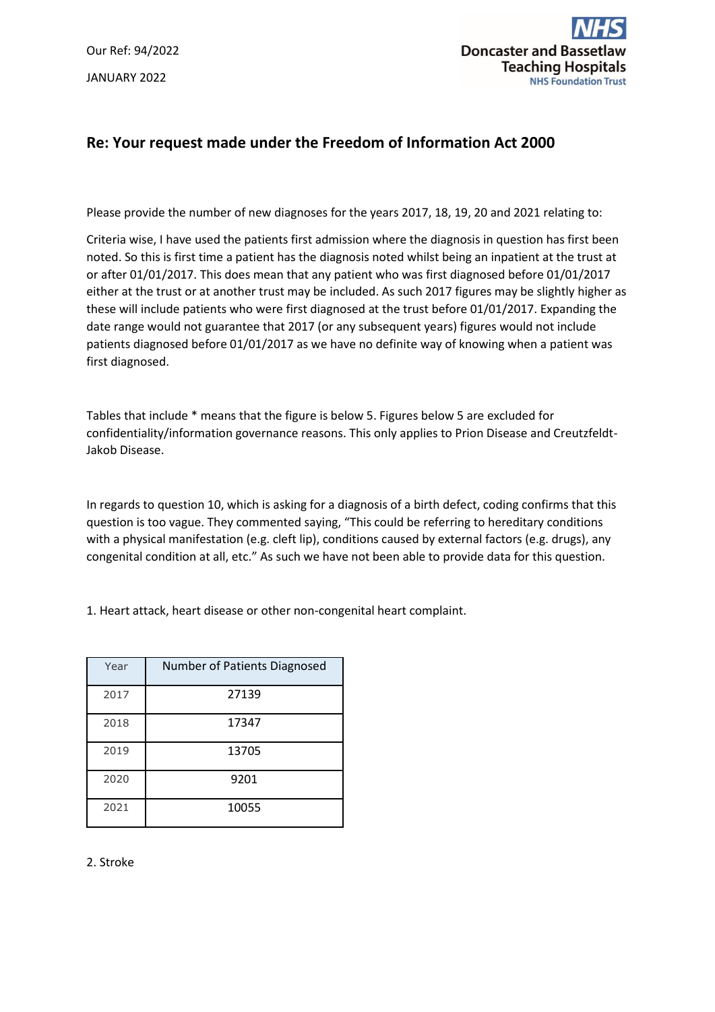Our Ref: 94/2022 JANUARY 2022



# **Re: Your request made under the Freedom of Information Act 2000**

Please provide the number of new diagnoses for the years 2017, 18, 19, 20 and 2021 relating to:

Criteria wise, I have used the patients first admission where the diagnosis in question has first been noted. So this is first time a patient has the diagnosis noted whilst being an inpatient at the trust at or after 01/01/2017. This does mean that any patient who was first diagnosed before 01/01/2017 either at the trust or at another trust may be included. As such 2017 figures may be slightly higher as these will include patients who were first diagnosed at the trust before 01/01/2017. Expanding the date range would not guarantee that 2017 (or any subsequent years) figures would not include patients diagnosed before 01/01/2017 as we have no definite way of knowing when a patient was first diagnosed.

Tables that include \* means that the figure is below 5. Figures below 5 are excluded for confidentiality/information governance reasons. This only applies to Prion Disease and Creutzfeldt-Jakob Disease.

In regards to question 10, which is asking for a diagnosis of a birth defect, coding confirms that this question is too vague. They commented saying, "This could be referring to hereditary conditions with a physical manifestation (e.g. cleft lip), conditions caused by external factors (e.g. drugs), any congenital condition at all, etc." As such we have not been able to provide data for this question.

1. Heart attack, heart disease or other non-congenital heart complaint.

| Year | <b>Number of Patients Diagnosed</b> |
|------|-------------------------------------|
| 2017 | 27139                               |
| 2018 | 17347                               |
| 2019 | 13705                               |
| 2020 | 9201                                |
| 2021 | 10055                               |

### 2. Stroke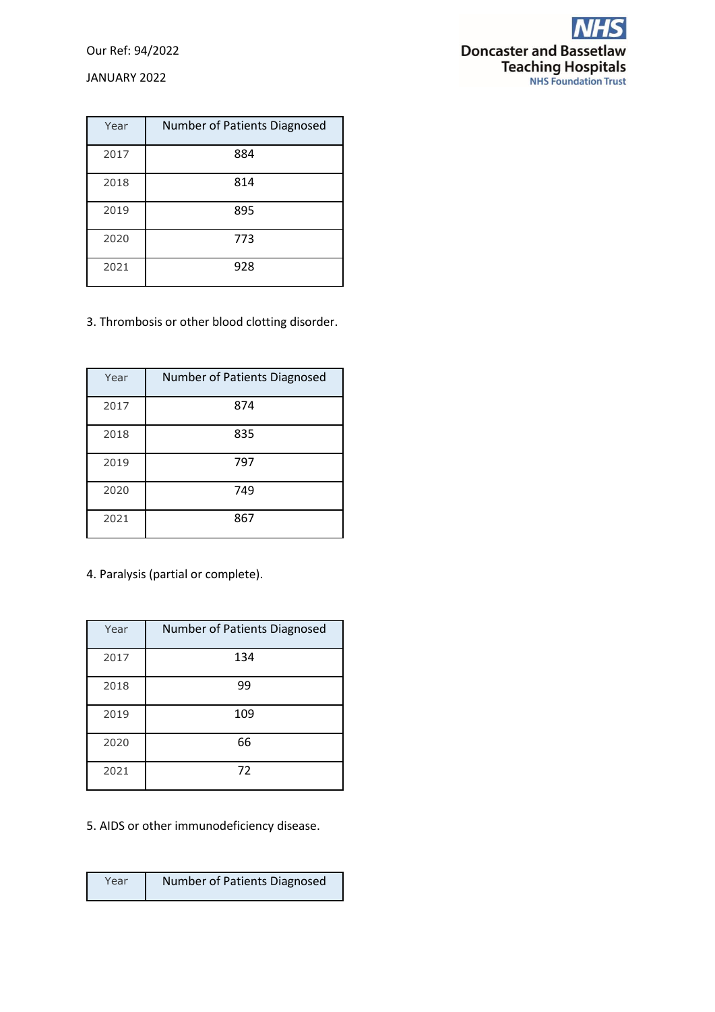### Our Ref: 94/2022

JANUARY 2022



| Year | Number of Patients Diagnosed |
|------|------------------------------|
| 2017 | 884                          |
| 2018 | 814                          |
| 2019 | 895                          |
| 2020 | 773                          |
| 2021 | 928                          |

3. Thrombosis or other blood clotting disorder.

| Year | <b>Number of Patients Diagnosed</b> |
|------|-------------------------------------|
| 2017 | 874                                 |
| 2018 | 835                                 |
| 2019 | 797                                 |
| 2020 | 749                                 |
| 2021 | 867                                 |

4. Paralysis (partial or complete).

| Year | Number of Patients Diagnosed |
|------|------------------------------|
| 2017 | 134                          |
| 2018 | 99                           |
| 2019 | 109                          |
| 2020 | 66                           |
| 2021 | 72                           |

5. AIDS or other immunodeficiency disease.

| Year | Number of Patients Diagnosed |
|------|------------------------------|
|      |                              |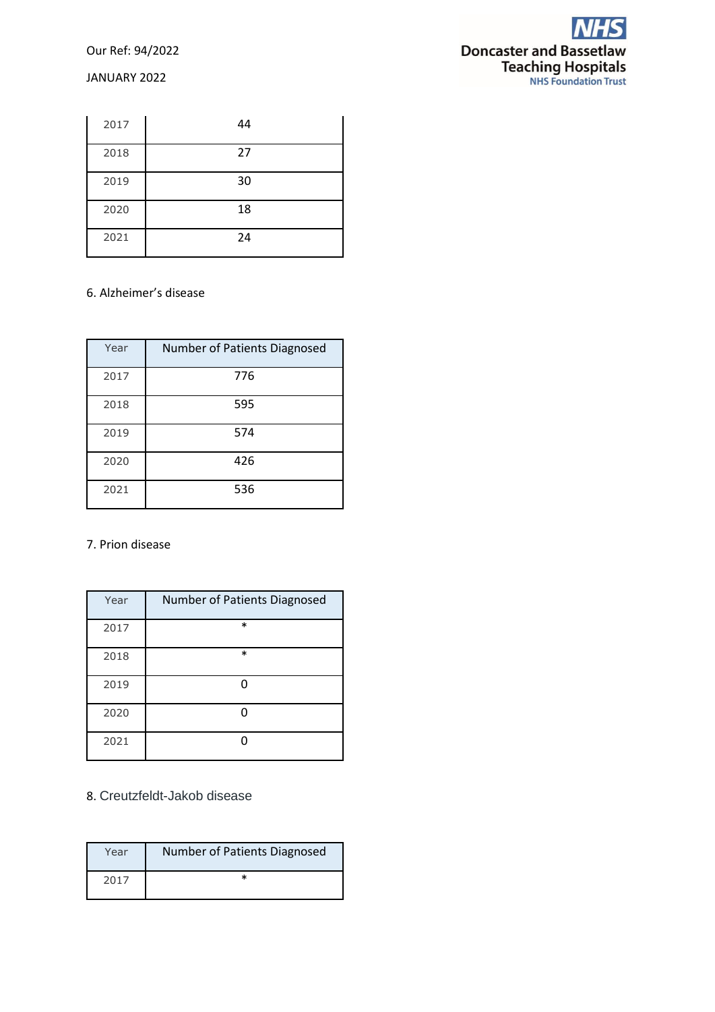Our Ref: 94/2022

### JANUARY 2022



| 2017 | 44 |
|------|----|
| 2018 | 27 |
| 2019 | 30 |
| 2020 | 18 |
| 2021 | 24 |

# 6. Alzheimer's disease

| Year | Number of Patients Diagnosed |
|------|------------------------------|
| 2017 | 776                          |
| 2018 | 595                          |
| 2019 | 574                          |
| 2020 | 426                          |
| 2021 | 536                          |

### 7. Prion disease

| Year | Number of Patients Diagnosed |
|------|------------------------------|
| 2017 | $\ast$                       |
| 2018 | $\ast$                       |
| 2019 |                              |
| 2020 |                              |
| 2021 |                              |

# 8. Creutzfeldt-Jakob disease

| Year | Number of Patients Diagnosed |
|------|------------------------------|
| 2017 |                              |